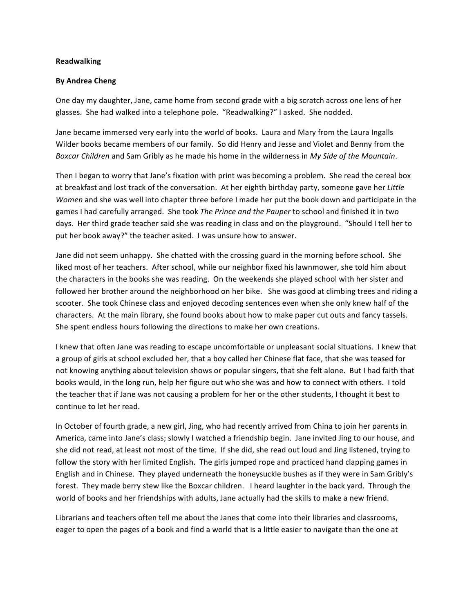## **Readwalking**

## **By Andrea Cheng**

One day my daughter, Jane, came home from second grade with a big scratch across one lens of her glasses. She had walked into a telephone pole. "Readwalking?" I asked. She nodded.

Jane became immersed very early into the world of books. Laura and Mary from the Laura Ingalls Wilder books became members of our family. So did Henry and Jesse and Violet and Benny from the *Boxcar Children* and Sam Gribly as he made his home in the wilderness in *My Side of the Mountain*.

Then I began to worry that Jane's fixation with print was becoming a problem. She read the cereal box at breakfast and lost track of the conversation. At her eighth birthday party, someone gave her Little *Women* and she was well into chapter three before I made her put the book down and participate in the games I had carefully arranged. She took *The Prince and the Pauper* to school and finished it in two days. Her third grade teacher said she was reading in class and on the playground. "Should I tell her to put her book away?" the teacher asked. I was unsure how to answer.

Jane did not seem unhappy. She chatted with the crossing guard in the morning before school. She liked most of her teachers. After school, while our neighbor fixed his lawnmower, she told him about the characters in the books she was reading. On the weekends she played school with her sister and followed her brother around the neighborhood on her bike. She was good at climbing trees and riding a scooter. She took Chinese class and enjoyed decoding sentences even when she only knew half of the characters. At the main library, she found books about how to make paper cut outs and fancy tassels. She spent endless hours following the directions to make her own creations.

I knew that often Jane was reading to escape uncomfortable or unpleasant social situations. I knew that a group of girls at school excluded her, that a boy called her Chinese flat face, that she was teased for not knowing anything about television shows or popular singers, that she felt alone. But I had faith that books would, in the long run, help her figure out who she was and how to connect with others. I told the teacher that if Jane was not causing a problem for her or the other students, I thought it best to continue to let her read.

In October of fourth grade, a new girl, Jing, who had recently arrived from China to join her parents in America, came into Jane's class; slowly I watched a friendship begin. Jane invited Jing to our house, and she did not read, at least not most of the time. If she did, she read out loud and Jing listened, trying to follow the story with her limited English. The girls jumped rope and practiced hand clapping games in English and in Chinese. They played underneath the honeysuckle bushes as if they were in Sam Gribly's forest. They made berry stew like the Boxcar children. I heard laughter in the back yard. Through the world of books and her friendships with adults, Jane actually had the skills to make a new friend.

Librarians and teachers often tell me about the Janes that come into their libraries and classrooms, eager to open the pages of a book and find a world that is a little easier to navigate than the one at